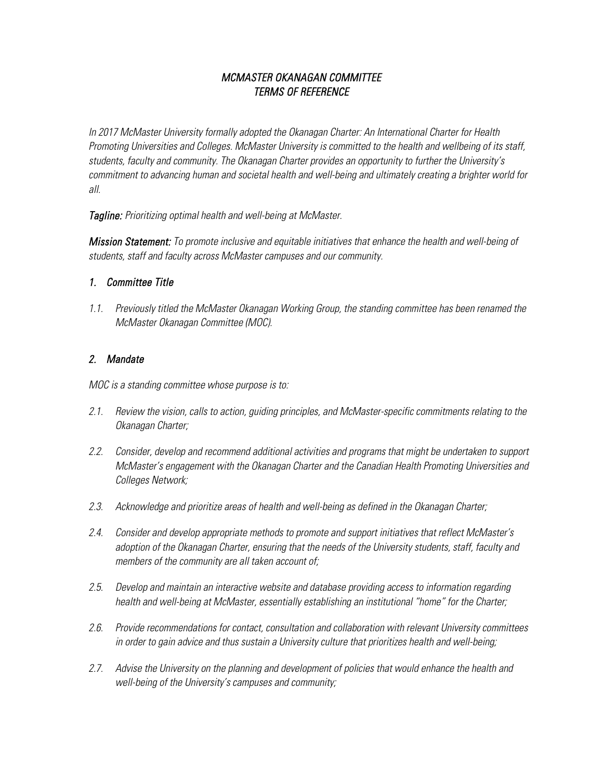# *MCMASTER OKANAGAN COMMITTEE TERMS OF REFERENCE*

*In 2017 McMaster University formally adopted the Okanagan Charter: An International Charter for Health Promoting Universities and Colleges. McMaster University is committed to the health and wellbeing of its staff, students, faculty and community. The Okanagan Charter provides an opportunity to further the University's commitment to advancing human and societal health and well-being and ultimately creating a brighter world for all.*

*Tagline: Prioritizing optimal health and well-being at McMaster.* 

*Mission Statement: To promote inclusive and equitable initiatives that enhance the health and well-being of students, staff and faculty across McMaster campuses and our community.*

## *1. Committee Title*

*1.1. Previously titled the McMaster Okanagan Working Group, the standing committee has been renamed the McMaster Okanagan Committee (MOC).* 

# *2. Mandate*

*MOC is a standing committee whose purpose is to:* 

- *2.1. Review the vision, calls to action, guiding principles, and McMaster-specific commitments relating to the Okanagan Charter;*
- *2.2. Consider, develop and recommend additional activities and programs that might be undertaken to support McMaster's engagement with the Okanagan Charter and the Canadian Health Promoting Universities and Colleges Network;*
- *2.3. Acknowledge and prioritize areas of health and well-being as defined in the Okanagan Charter;*
- *2.4. Consider and develop appropriate methods to promote and support initiatives that reflect McMaster's adoption of the Okanagan Charter, ensuring that the needs of the University students, staff, faculty and members of the community are all taken account of;*
- *2.5. Develop and maintain an interactive website and database providing access to information regarding health and well-being at McMaster, essentially establishing an institutional "home" for the Charter;*
- *2.6. Provide recommendations for contact, consultation and collaboration with relevant University committees in order to gain advice and thus sustain a University culture that prioritizes health and well-being;*
- *2.7. Advise the University on the planning and development of policies that would enhance the health and well-being of the University's campuses and community;*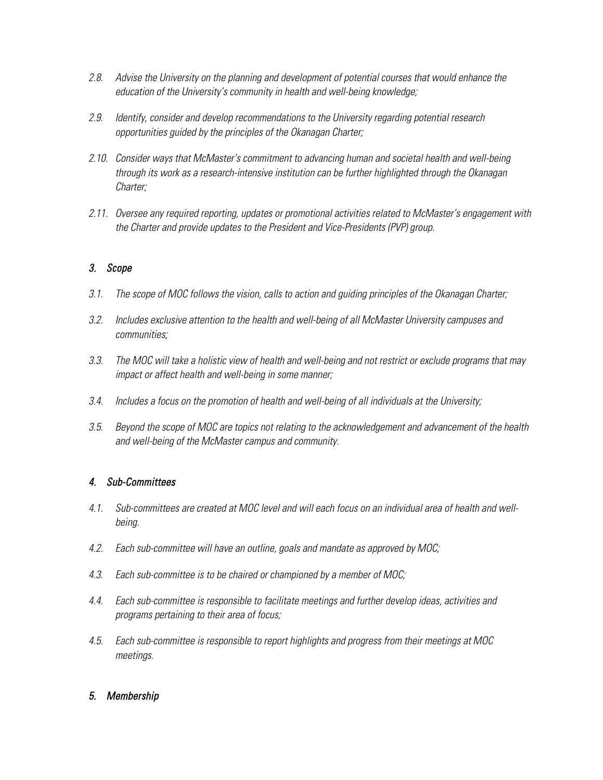- *2.8. Advise the University on the planning and development of potential courses that would enhance the education of the University's community in health and well-being knowledge;*
- *2.9. Identify, consider and develop recommendations to the University regarding potential research opportunities guided by the principles of the Okanagan Charter;*
- *2.10. Consider ways that McMaster's commitment to advancing human and societal health and well-being through its work as a research-intensive institution can be further highlighted through the Okanagan Charter;*
- *2.11. Oversee any required reporting, updates or promotional activities related to McMaster's engagement with the Charter and provide updates to the President and Vice-Presidents (PVP) group.*

## *3. Scope*

- *3.1. The scope of MOC follows the vision, calls to action and guiding principles of the Okanagan Charter;*
- *3.2. Includes exclusive attention to the health and well-being of all McMaster University campuses and communities;*
- *3.3. The MOC will take a holistic view of health and well-being and not restrict or exclude programs that may impact or affect health and well-being in some manner;*
- *3.4. Includes a focus on the promotion of health and well-being of all individuals at the University;*
- *3.5. Beyond the scope of MOC are topics not relating to the acknowledgement and advancement of the health and well-being of the McMaster campus and community.*

## *4. Sub-Committees*

- *4.1. Sub-committees are created at MOC level and will each focus on an individual area of health and wellbeing.*
- *4.2. Each sub-committee will have an outline, goals and mandate as approved by MOC;*
- *4.3. Each sub-committee is to be chaired or championed by a member of MOC;*
- *4.4. Each sub-committee is responsible to facilitate meetings and further develop ideas, activities and programs pertaining to their area of focus;*
- *4.5. Each sub-committee is responsible to report highlights and progress from their meetings at MOC meetings.*

### *5. Membership*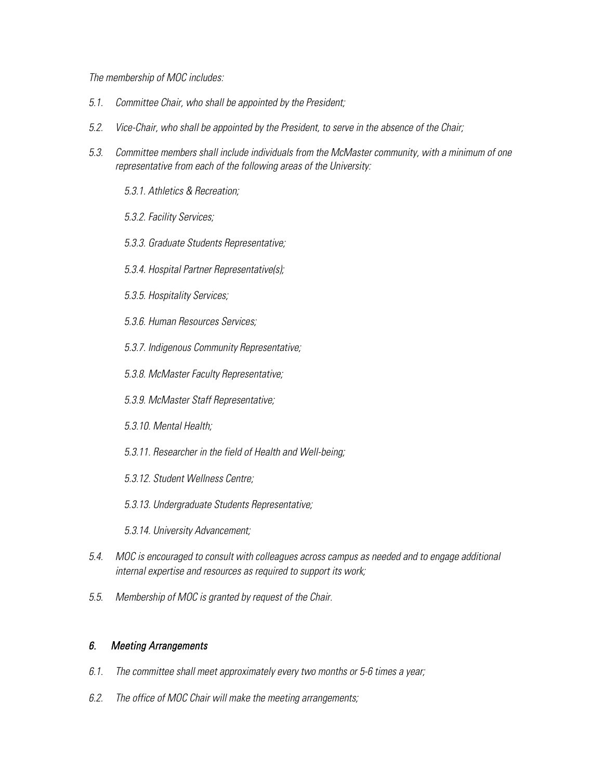#### *The membership of MOC includes:*

- *5.1. Committee Chair, who shall be appointed by the President;*
- *5.2. Vice-Chair, who shall be appointed by the President, to serve in the absence of the Chair;*
- *5.3. Committee members shall include individuals from the McMaster community, with a minimum of one representative from each of the following areas of the University:*
	- *5.3.1. Athletics & Recreation;*
	- *5.3.2. Facility Services;*
	- *5.3.3. Graduate Students Representative;*
	- *5.3.4. Hospital Partner Representative(s);*
	- *5.3.5. Hospitality Services;*
	- *5.3.6. Human Resources Services;*
	- *5.3.7. Indigenous Community Representative;*
	- *5.3.8. McMaster Faculty Representative;*
	- *5.3.9. McMaster Staff Representative;*
	- *5.3.10. Mental Health;*
	- *5.3.11. Researcher in the field of Health and Well-being;*
	- *5.3.12. Student Wellness Centre;*
	- *5.3.13. Undergraduate Students Representative;*
	- *5.3.14. University Advancement;*
- *5.4. MOC is encouraged to consult with colleagues across campus as needed and to engage additional internal expertise and resources as required to support its work;*
- *5.5. Membership of MOC is granted by request of the Chair.*

#### *6. Meeting Arrangements*

- *6.1. The committee shall meet approximately every two months or 5-6 times a year;*
- *6.2. The office of MOC Chair will make the meeting arrangements;*